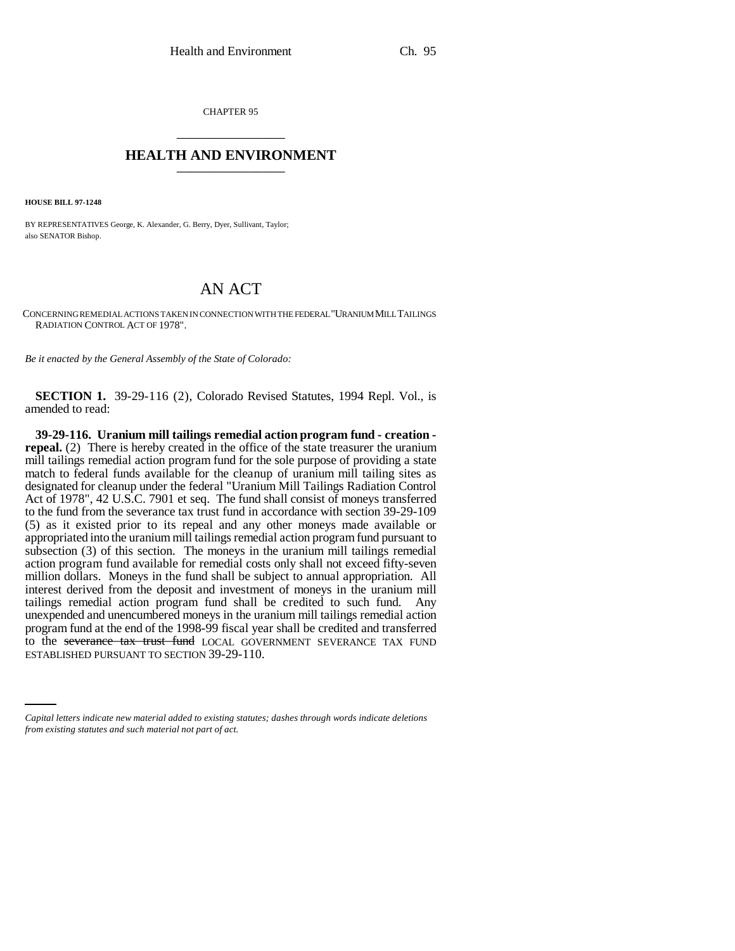CHAPTER 95 \_\_\_\_\_\_\_\_\_\_\_\_\_\_\_

## **HEALTH AND ENVIRONMENT** \_\_\_\_\_\_\_\_\_\_\_\_\_\_\_

**HOUSE BILL 97-1248**

BY REPRESENTATIVES George, K. Alexander, G. Berry, Dyer, Sullivant, Taylor; also SENATOR Bishop.

## AN ACT

CONCERNING REMEDIAL ACTIONS TAKEN IN CONNECTION WITH THE FEDERAL "URANIUM MILL TAILINGS RADIATION CONTROL ACT OF 1978".

*Be it enacted by the General Assembly of the State of Colorado:*

**SECTION 1.** 39-29-116 (2), Colorado Revised Statutes, 1994 Repl. Vol., is amended to read:

to the severance tax trust fund LOCAL GOVERNMENT SEVERANCE TAX FUND **39-29-116. Uranium mill tailings remedial action program fund - creation repeal.** (2) There is hereby created in the office of the state treasurer the uranium mill tailings remedial action program fund for the sole purpose of providing a state match to federal funds available for the cleanup of uranium mill tailing sites as designated for cleanup under the federal "Uranium Mill Tailings Radiation Control Act of 1978", 42 U.S.C. 7901 et seq. The fund shall consist of moneys transferred to the fund from the severance tax trust fund in accordance with section 39-29-109 (5) as it existed prior to its repeal and any other moneys made available or appropriated into the uranium mill tailings remedial action program fund pursuant to subsection (3) of this section. The moneys in the uranium mill tailings remedial action program fund available for remedial costs only shall not exceed fifty-seven million dollars. Moneys in the fund shall be subject to annual appropriation. All interest derived from the deposit and investment of moneys in the uranium mill tailings remedial action program fund shall be credited to such fund. Any unexpended and unencumbered moneys in the uranium mill tailings remedial action program fund at the end of the 1998-99 fiscal year shall be credited and transferred ESTABLISHED PURSUANT TO SECTION 39-29-110.

*Capital letters indicate new material added to existing statutes; dashes through words indicate deletions from existing statutes and such material not part of act.*